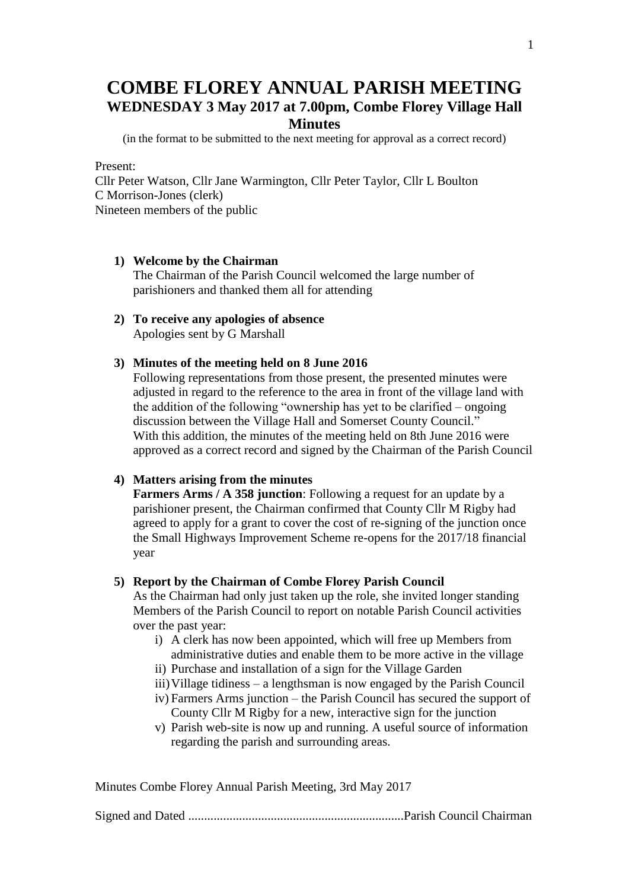# **COMBE FLOREY ANNUAL PARISH MEETING WEDNESDAY 3 May 2017 at 7.00pm, Combe Florey Village Hall Minutes**

(in the format to be submitted to the next meeting for approval as a correct record)

Present:

Cllr Peter Watson, Cllr Jane Warmington, Cllr Peter Taylor, Cllr L Boulton C Morrison-Jones (clerk) Nineteen members of the public

- **1) Welcome by the Chairman** The Chairman of the Parish Council welcomed the large number of parishioners and thanked them all for attending
- **2) To receive any apologies of absence** Apologies sent by G Marshall
- **3) Minutes of the meeting held on 8 June 2016**

Following representations from those present, the presented minutes were adjusted in regard to the reference to the area in front of the village land with the addition of the following "ownership has yet to be clarified – ongoing discussion between the Village Hall and Somerset County Council." With this addition, the minutes of the meeting held on 8th June 2016 were approved as a correct record and signed by the Chairman of the Parish Council

## **4) Matters arising from the minutes**

**Farmers Arms / A 358 junction**: Following a request for an update by a parishioner present, the Chairman confirmed that County Cllr M Rigby had agreed to apply for a grant to cover the cost of re-signing of the junction once the Small Highways Improvement Scheme re-opens for the 2017/18 financial year

## **5) Report by the Chairman of Combe Florey Parish Council**

As the Chairman had only just taken up the role, she invited longer standing Members of the Parish Council to report on notable Parish Council activities over the past year:

- i) A clerk has now been appointed, which will free up Members from administrative duties and enable them to be more active in the village
- ii) Purchase and installation of a sign for the Village Garden
- iii)Village tidiness a lengthsman is now engaged by the Parish Council
- iv) Farmers Arms junction the Parish Council has secured the support of County Cllr M Rigby for a new, interactive sign for the junction
- v) Parish web-site is now up and running. A useful source of information regarding the parish and surrounding areas.

Minutes Combe Florey Annual Parish Meeting, 3rd May 2017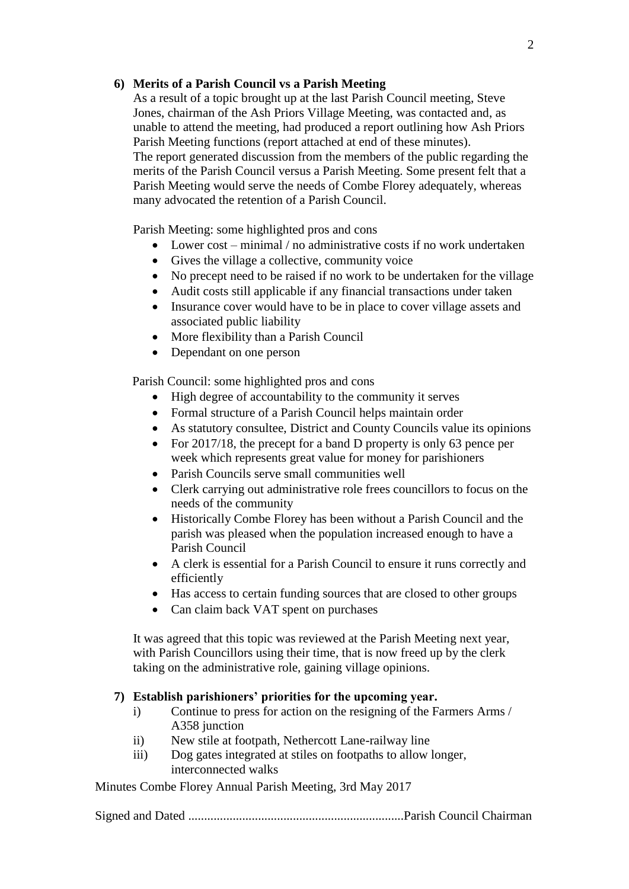## **6) Merits of a Parish Council vs a Parish Meeting**

As a result of a topic brought up at the last Parish Council meeting, Steve Jones, chairman of the Ash Priors Village Meeting, was contacted and, as unable to attend the meeting, had produced a report outlining how Ash Priors Parish Meeting functions (report attached at end of these minutes). The report generated discussion from the members of the public regarding the merits of the Parish Council versus a Parish Meeting. Some present felt that a Parish Meeting would serve the needs of Combe Florey adequately, whereas many advocated the retention of a Parish Council.

Parish Meeting: some highlighted pros and cons

- Lower cost minimal / no administrative costs if no work undertaken
- Gives the village a collective, community voice
- No precept need to be raised if no work to be undertaken for the village
- Audit costs still applicable if any financial transactions under taken
- Insurance cover would have to be in place to cover village assets and associated public liability
- More flexibility than a Parish Council
- Dependant on one person

Parish Council: some highlighted pros and cons

- High degree of accountability to the community it serves
- Formal structure of a Parish Council helps maintain order
- As statutory consultee, District and County Councils value its opinions
- For 2017/18, the precept for a band D property is only 63 pence per week which represents great value for money for parishioners
- Parish Councils serve small communities well
- Clerk carrying out administrative role frees councillors to focus on the needs of the community
- Historically Combe Florey has been without a Parish Council and the parish was pleased when the population increased enough to have a Parish Council
- A clerk is essential for a Parish Council to ensure it runs correctly and efficiently
- Has access to certain funding sources that are closed to other groups
- Can claim back VAT spent on purchases

It was agreed that this topic was reviewed at the Parish Meeting next year, with Parish Councillors using their time, that is now freed up by the clerk taking on the administrative role, gaining village opinions.

## **7) Establish parishioners' priorities for the upcoming year.**

- i) Continue to press for action on the resigning of the Farmers Arms / A358 junction
- ii) New stile at footpath, Nethercott Lane-railway line
- iii) Dog gates integrated at stiles on footpaths to allow longer, interconnected walks

Minutes Combe Florey Annual Parish Meeting, 3rd May 2017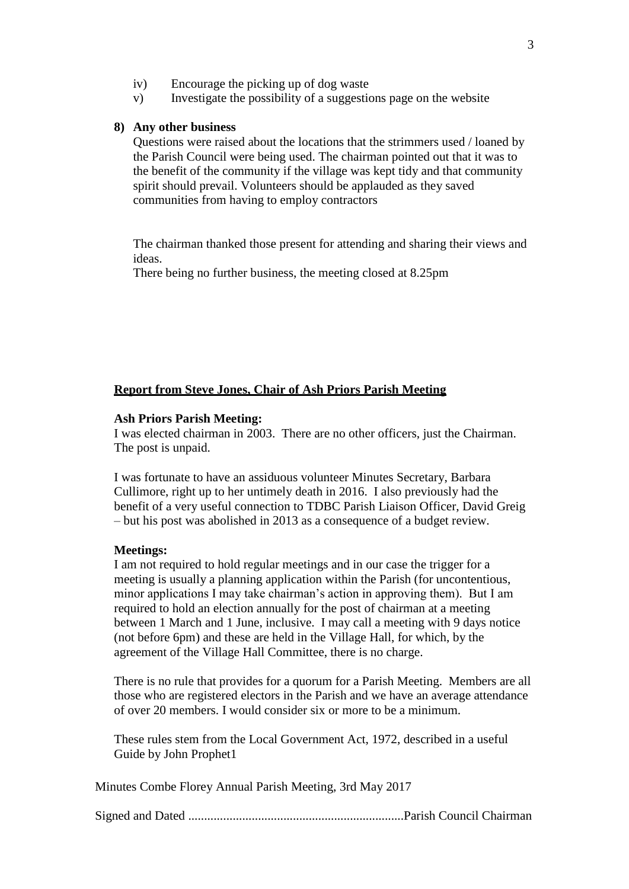- iv) Encourage the picking up of dog waste
- v) Investigate the possibility of a suggestions page on the website

### **8) Any other business**

Questions were raised about the locations that the strimmers used / loaned by the Parish Council were being used. The chairman pointed out that it was to the benefit of the community if the village was kept tidy and that community spirit should prevail. Volunteers should be applauded as they saved communities from having to employ contractors

The chairman thanked those present for attending and sharing their views and ideas.

There being no further business, the meeting closed at 8.25pm

## **Report from Steve Jones, Chair of Ash Priors Parish Meeting**

## **Ash Priors Parish Meeting:**

I was elected chairman in 2003. There are no other officers, just the Chairman. The post is unpaid.

I was fortunate to have an assiduous volunteer Minutes Secretary, Barbara Cullimore, right up to her untimely death in 2016. I also previously had the benefit of a very useful connection to TDBC Parish Liaison Officer, David Greig – but his post was abolished in 2013 as a consequence of a budget review.

#### **Meetings:**

I am not required to hold regular meetings and in our case the trigger for a meeting is usually a planning application within the Parish (for uncontentious, minor applications I may take chairman's action in approving them). But I am required to hold an election annually for the post of chairman at a meeting between 1 March and 1 June, inclusive. I may call a meeting with 9 days notice (not before 6pm) and these are held in the Village Hall, for which, by the agreement of the Village Hall Committee, there is no charge.

There is no rule that provides for a quorum for a Parish Meeting. Members are all those who are registered electors in the Parish and we have an average attendance of over 20 members. I would consider six or more to be a minimum.

These rules stem from the Local Government Act, 1972, described in a useful Guide by John Prophet1

Minutes Combe Florey Annual Parish Meeting, 3rd May 2017